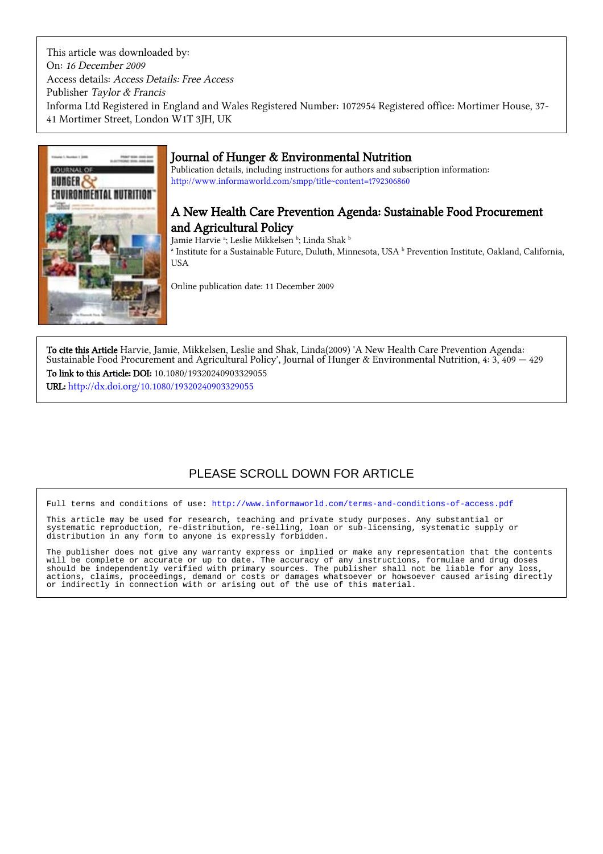This article was downloaded by: On: 16 December 2009 Access details: Access Details: Free Access Publisher Taylor & Francis Informa Ltd Registered in England and Wales Registered Number: 1072954 Registered office: Mortimer House, 37- 41 Mortimer Street, London W1T 3JH, UK



# Journal of Hunger & Environmental Nutrition

Publication details, including instructions for authors and subscription information: <http://www.informaworld.com/smpp/title~content=t792306860>

# A New Health Care Prevention Agenda: Sustainable Food Procurement and Agricultural Policy

Jamie Harvie ª; Leslie Mikkelsen ʰ; Linda Shak ʰ

<sup>a</sup> Institute for a Sustainable Future, Duluth, Minnesota, USA <sup>b</sup> Prevention Institute, Oakland, California, **USA** 

Online publication date: 11 December 2009

To cite this Article Harvie, Jamie, Mikkelsen, Leslie and Shak, Linda(2009) 'A New Health Care Prevention Agenda: Sustainable Food Procurement and Agricultural Policy', Journal of Hunger & Environmental Nutrition, 4: 3, 409 — 429 To link to this Article: DOI: 10.1080/19320240903329055 URL: <http://dx.doi.org/10.1080/19320240903329055>

PLEASE SCROLL DOWN FOR ARTICLE

Full terms and conditions of use:<http://www.informaworld.com/terms-and-conditions-of-access.pdf>

This article may be used for research, teaching and private study purposes. Any substantial or systematic reproduction, re-distribution, re-selling, loan or sub-licensing, systematic supply or distribution in any form to anyone is expressly forbidden.

The publisher does not give any warranty express or implied or make any representation that the contents will be complete or accurate or up to date. The accuracy of any instructions, formulae and drug doses should be independently verified with primary sources. The publisher shall not be liable for any loss, actions, claims, proceedings, demand or costs or damages whatsoever or howsoever caused arising directly or indirectly in connection with or arising out of the use of this material.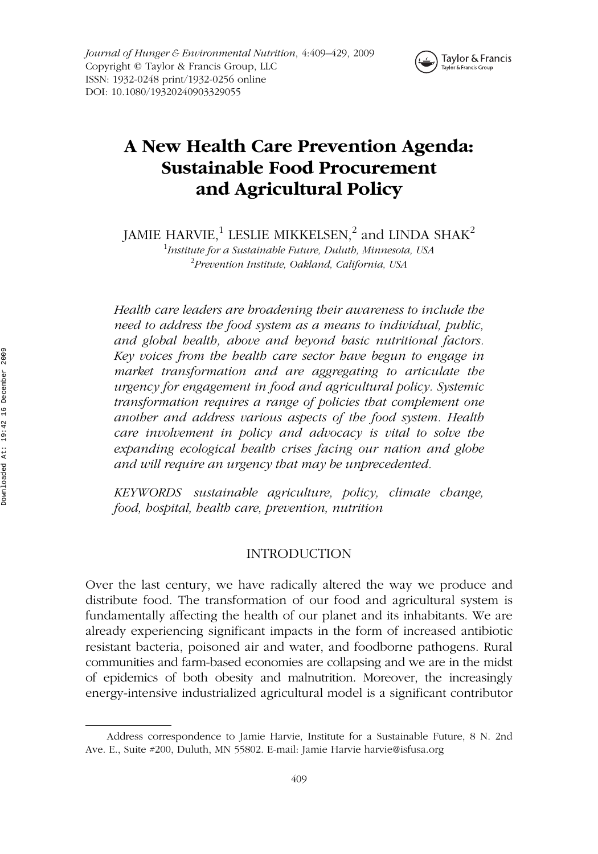

# WHEN 1932-0248 1932-0256Journal of Hunger & Environmental Nutrition, Vol. 4, No. 3-4, October 2009: pp. 0–0 Nutrition **A New Health Care Prevention Agenda: Sustainable Food Procurement and Agricultural Policy**

JAMIE HARVIE,<sup>1</sup> LESLIE MIKKELSEN,<sup>2</sup> and LINDA SHAK<sup>2</sup>

1 *Institute for a Sustainable Future, Duluth, Minnesota, USA* 2 *Prevention Institute, Oakland, California, USA*

*Health care leaders are broadening their awareness to include the need to address the food system as a means to individual, public, and global health, above and beyond basic nutritional factors. Key voices from the health care sector have begun to engage in market transformation and are aggregating to articulate the urgency for engagement in food and agricultural policy. Systemic transformation requires a range of policies that complement one another and address various aspects of the food system. Health care involvement in policy and advocacy is vital to solve the expanding ecological health crises facing our nation and globe and will require an urgency that may be unprecedented.*

*KEYWORDS sustainable agriculture, policy, climate change, food, hospital, health care, prevention, nutrition*

### INTRODUCTION

Over the last century, we have radically altered the way we produce and distribute food. The transformation of our food and agricultural system is fundamentally affecting the health of our planet and its inhabitants. We are already experiencing significant impacts in the form of increased antibiotic resistant bacteria, poisoned air and water, and foodborne pathogens. Rural communities and farm-based economies are collapsing and we are in the midst of epidemics of both obesity and malnutrition. Moreover, the increasingly energy-intensive industrialized agricultural model is a significant contributor

Address correspondence to Jamie Harvie, Institute for a Sustainable Future, 8 N. 2nd Ave. E., Suite #200, Duluth, MN 55802. E-mail: Jamie Harvie harvie@isfusa.org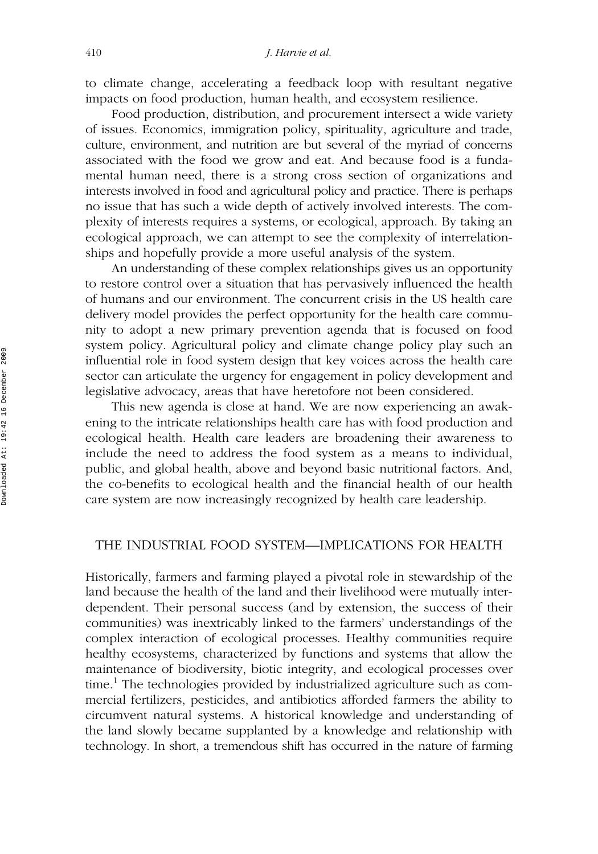to climate change, accelerating a feedback loop with resultant negative impacts on food production, human health, and ecosystem resilience.

Food production, distribution, and procurement intersect a wide variety of issues. Economics, immigration policy, spirituality, agriculture and trade, culture, environment, and nutrition are but several of the myriad of concerns associated with the food we grow and eat. And because food is a fundamental human need, there is a strong cross section of organizations and interests involved in food and agricultural policy and practice. There is perhaps no issue that has such a wide depth of actively involved interests. The complexity of interests requires a systems, or ecological, approach. By taking an ecological approach, we can attempt to see the complexity of interrelationships and hopefully provide a more useful analysis of the system.

An understanding of these complex relationships gives us an opportunity to restore control over a situation that has pervasively influenced the health of humans and our environment. The concurrent crisis in the US health care delivery model provides the perfect opportunity for the health care community to adopt a new primary prevention agenda that is focused on food system policy. Agricultural policy and climate change policy play such an influential role in food system design that key voices across the health care sector can articulate the urgency for engagement in policy development and legislative advocacy, areas that have heretofore not been considered.

This new agenda is close at hand. We are now experiencing an awakening to the intricate relationships health care has with food production and ecological health. Health care leaders are broadening their awareness to include the need to address the food system as a means to individual, public, and global health, above and beyond basic nutritional factors. And, the co-benefits to ecological health and the financial health of our health care system are now increasingly recognized by health care leadership.

#### THE INDUSTRIAL FOOD SYSTEM—IMPLICATIONS FOR HEALTH

Historically, farmers and farming played a pivotal role in stewardship of the land because the health of the land and their livelihood were mutually interdependent. Their personal success (and by extension, the success of their communities) was inextricably linked to the farmers' understandings of the complex interaction of ecological processes. Healthy communities require healthy ecosystems, characterized by functions and systems that allow the maintenance of biodiversity, biotic integrity, and ecological processes over time.<sup>1</sup> The technologies provided by industrialized agriculture such as commercial fertilizers, pesticides, and antibiotics afforded farmers the ability to circumvent natural systems. A historical knowledge and understanding of the land slowly became supplanted by a knowledge and relationship with technology. In short, a tremendous shift has occurred in the nature of farming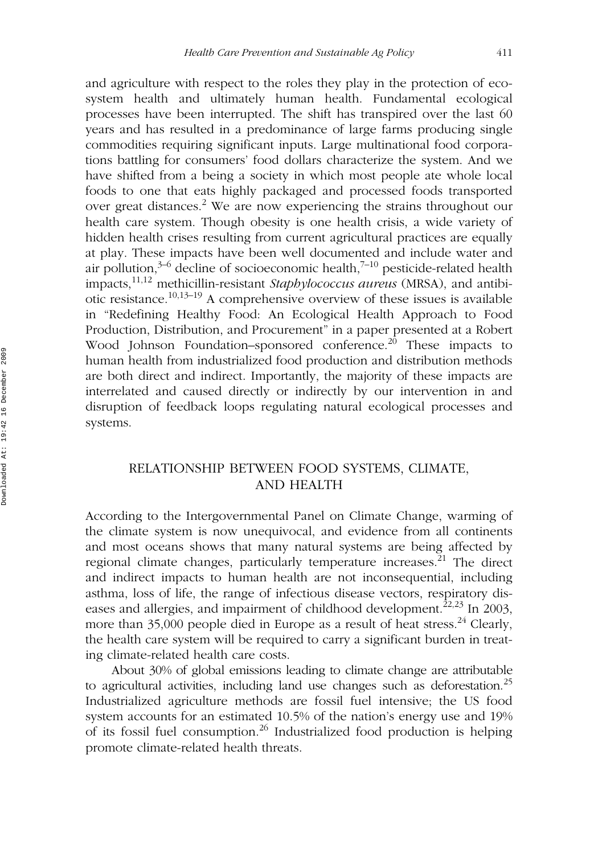and agriculture with respect to the roles they play in the protection of ecosystem health and ultimately human health. Fundamental ecological processes have been interrupted. The shift has transpired over the last 60 years and has resulted in a predominance of large farms producing single commodities requiring significant inputs. Large multinational food corporations battling for consumers' food dollars characterize the system. And we have shifted from a being a society in which most people ate whole local foods to one that eats highly packaged and processed foods transported over great distances.<sup>2</sup> We are now experiencing the strains throughout our health care system. Though obesity is one health crisis, a wide variety of hidden health crises resulting from current agricultural practices are equally at play. These impacts have been well documented and include water and air pollution, $3-6$  decline of socioeconomic health, $7-10$  pesticide-related health impacts,11,12 methicillin-resistant *Staphylococcus aureus* (MRSA), and antibiotic resistance.10,13–19 A comprehensive overview of these issues is available in "Redefining Healthy Food: An Ecological Health Approach to Food Production, Distribution, and Procurement" in a paper presented at a Robert Wood Johnson Foundation–sponsored conference.<sup>20</sup> These impacts to human health from industrialized food production and distribution methods are both direct and indirect. Importantly, the majority of these impacts are interrelated and caused directly or indirectly by our intervention in and disruption of feedback loops regulating natural ecological processes and systems.

## RELATIONSHIP BETWEEN FOOD SYSTEMS, CLIMATE, AND HEALTH

According to the Intergovernmental Panel on Climate Change, warming of the climate system is now unequivocal, and evidence from all continents and most oceans shows that many natural systems are being affected by regional climate changes, particularly temperature increases.<sup>21</sup> The direct and indirect impacts to human health are not inconsequential, including asthma, loss of life, the range of infectious disease vectors, respiratory diseases and allergies, and impairment of childhood development.<sup> $22,23$ </sup> In 2003, more than 35,000 people died in Europe as a result of heat stress.<sup>24</sup> Clearly, the health care system will be required to carry a significant burden in treating climate-related health care costs.

About 30% of global emissions leading to climate change are attributable to agricultural activities, including land use changes such as deforestation.<sup>25</sup> Industrialized agriculture methods are fossil fuel intensive; the US food system accounts for an estimated 10.5% of the nation's energy use and 19% of its fossil fuel consumption.<sup>26</sup> Industrialized food production is helping promote climate-related health threats.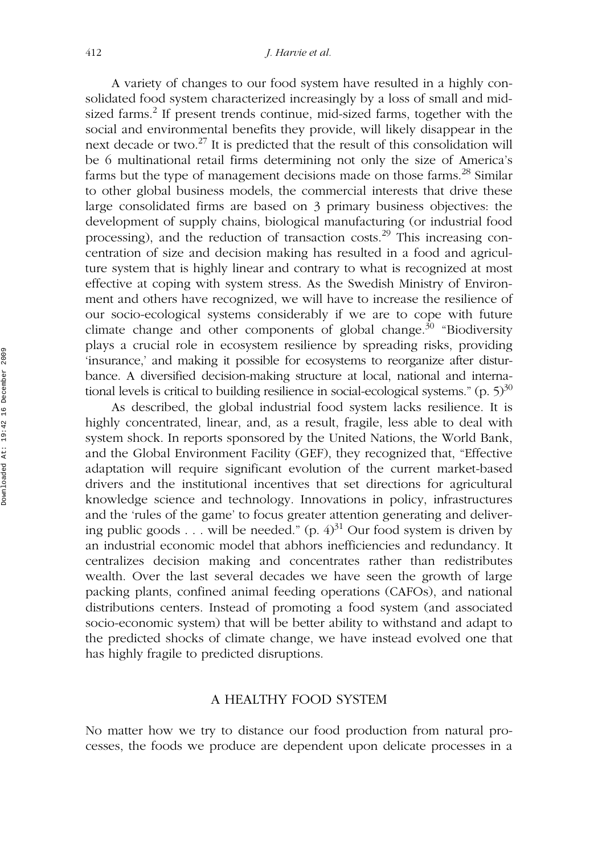A variety of changes to our food system have resulted in a highly consolidated food system characterized increasingly by a loss of small and midsized farms.<sup>2</sup> If present trends continue, mid-sized farms, together with the social and environmental benefits they provide, will likely disappear in the next decade or two.<sup>27</sup> It is predicted that the result of this consolidation will be 6 multinational retail firms determining not only the size of America's farms but the type of management decisions made on those farms.<sup>28</sup> Similar to other global business models, the commercial interests that drive these large consolidated firms are based on 3 primary business objectives: the development of supply chains, biological manufacturing (or industrial food processing), and the reduction of transaction costs.<sup>29</sup> This increasing concentration of size and decision making has resulted in a food and agriculture system that is highly linear and contrary to what is recognized at most effective at coping with system stress. As the Swedish Ministry of Environment and others have recognized, we will have to increase the resilience of our socio-ecological systems considerably if we are to cope with future climate change and other components of global change.<sup>30</sup> "Biodiversity" plays a crucial role in ecosystem resilience by spreading risks, providing 'insurance,' and making it possible for ecosystems to reorganize after disturbance. A diversified decision-making structure at local, national and international levels is critical to building resilience in social-ecological systems." (p.  $5^{30}$ 

As described, the global industrial food system lacks resilience. It is highly concentrated, linear, and, as a result, fragile, less able to deal with system shock. In reports sponsored by the United Nations, the World Bank, and the Global Environment Facility (GEF), they recognized that, "Effective adaptation will require significant evolution of the current market-based drivers and the institutional incentives that set directions for agricultural knowledge science and technology. Innovations in policy, infrastructures and the 'rules of the game' to focus greater attention generating and delivering public goods . . . will be needed."  $(p, 4)^{31}$  Our food system is driven by an industrial economic model that abhors inefficiencies and redundancy. It centralizes decision making and concentrates rather than redistributes wealth. Over the last several decades we have seen the growth of large packing plants, confined animal feeding operations (CAFOs), and national distributions centers. Instead of promoting a food system (and associated socio-economic system) that will be better ability to withstand and adapt to the predicted shocks of climate change, we have instead evolved one that has highly fragile to predicted disruptions.

#### A HEALTHY FOOD SYSTEM

No matter how we try to distance our food production from natural processes, the foods we produce are dependent upon delicate processes in a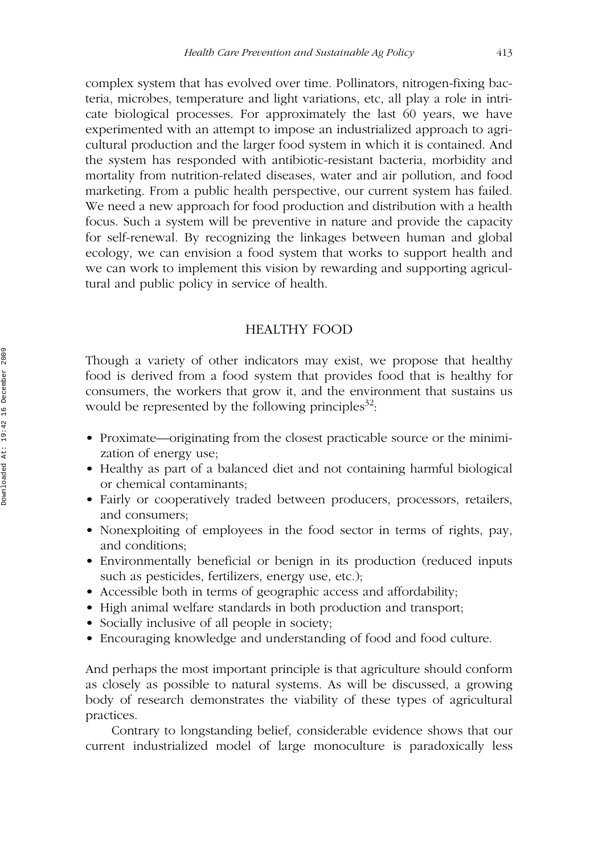complex system that has evolved over time. Pollinators, nitrogen-fixing bacteria, microbes, temperature and light variations, etc, all play a role in intricate biological processes. For approximately the last 60 years, we have experimented with an attempt to impose an industrialized approach to agricultural production and the larger food system in which it is contained. And the system has responded with antibiotic-resistant bacteria, morbidity and mortality from nutrition-related diseases, water and air pollution, and food marketing. From a public health perspective, our current system has failed. We need a new approach for food production and distribution with a health focus. Such a system will be preventive in nature and provide the capacity for self-renewal. By recognizing the linkages between human and global ecology, we can envision a food system that works to support health and we can work to implement this vision by rewarding and supporting agricultural and public policy in service of health.

#### HEALTHY FOOD

Though a variety of other indicators may exist, we propose that healthy food is derived from a food system that provides food that is healthy for consumers, the workers that grow it, and the environment that sustains us would be represented by the following principles<sup>32</sup>:

- Proximate—originating from the closest practicable source or the minimization of energy use;
- Healthy as part of a balanced diet and not containing harmful biological or chemical contaminants;
- Fairly or cooperatively traded between producers, processors, retailers, and consumers;
- Nonexploiting of employees in the food sector in terms of rights, pay, and conditions;
- Environmentally beneficial or benign in its production (reduced inputs such as pesticides, fertilizers, energy use, etc.);
- Accessible both in terms of geographic access and affordability;
- High animal welfare standards in both production and transport;
- Socially inclusive of all people in society;
- Encouraging knowledge and understanding of food and food culture.

And perhaps the most important principle is that agriculture should conform as closely as possible to natural systems. As will be discussed, a growing body of research demonstrates the viability of these types of agricultural practices.

Contrary to longstanding belief, considerable evidence shows that our current industrialized model of large monoculture is paradoxically less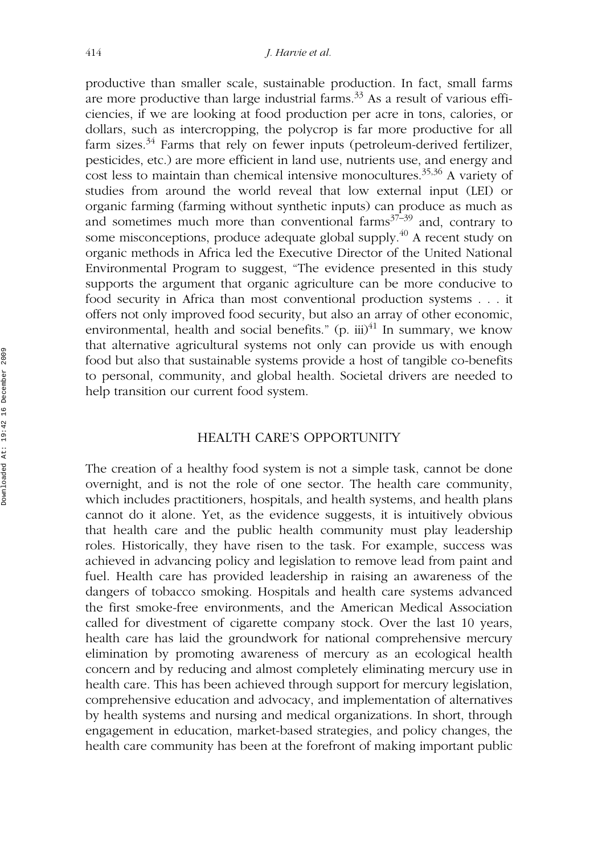productive than smaller scale, sustainable production. In fact, small farms are more productive than large industrial farms.<sup>33</sup> As a result of various efficiencies, if we are looking at food production per acre in tons, calories, or dollars, such as intercropping, the polycrop is far more productive for all farm sizes. $34$  Farms that rely on fewer inputs (petroleum-derived fertilizer, pesticides, etc.) are more efficient in land use, nutrients use, and energy and cost less to maintain than chemical intensive monocultures.<sup>35,36</sup> A variety of studies from around the world reveal that low external input (LEI) or organic farming (farming without synthetic inputs) can produce as much as and sometimes much more than conventional farms $37-39$  and, contrary to some misconceptions, produce adequate global supply.<sup> $40$ </sup> A recent study on organic methods in Africa led the Executive Director of the United National Environmental Program to suggest, "The evidence presented in this study supports the argument that organic agriculture can be more conducive to food security in Africa than most conventional production systems . . . it offers not only improved food security, but also an array of other economic, environmental, health and social benefits." (p.  $iii)^{41}$  In summary, we know that alternative agricultural systems not only can provide us with enough food but also that sustainable systems provide a host of tangible co-benefits to personal, community, and global health. Societal drivers are needed to help transition our current food system.

#### HEALTH CARE'S OPPORTUNITY

The creation of a healthy food system is not a simple task, cannot be done overnight, and is not the role of one sector. The health care community, which includes practitioners, hospitals, and health systems, and health plans cannot do it alone. Yet, as the evidence suggests, it is intuitively obvious that health care and the public health community must play leadership roles. Historically, they have risen to the task. For example, success was achieved in advancing policy and legislation to remove lead from paint and fuel. Health care has provided leadership in raising an awareness of the dangers of tobacco smoking. Hospitals and health care systems advanced the first smoke-free environments, and the American Medical Association called for divestment of cigarette company stock. Over the last 10 years, health care has laid the groundwork for national comprehensive mercury elimination by promoting awareness of mercury as an ecological health concern and by reducing and almost completely eliminating mercury use in health care. This has been achieved through support for mercury legislation, comprehensive education and advocacy, and implementation of alternatives by health systems and nursing and medical organizations. In short, through engagement in education, market-based strategies, and policy changes, the health care community has been at the forefront of making important public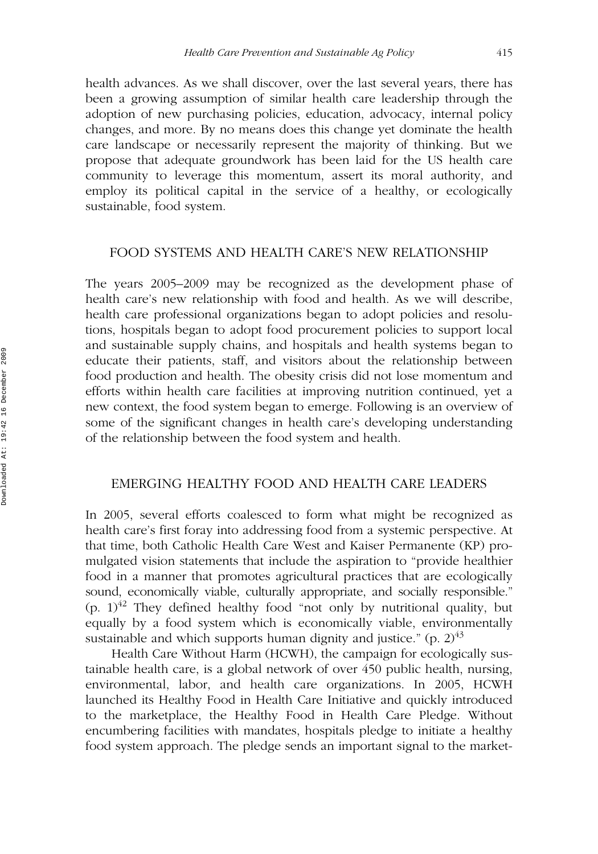health advances. As we shall discover, over the last several years, there has been a growing assumption of similar health care leadership through the adoption of new purchasing policies, education, advocacy, internal policy changes, and more. By no means does this change yet dominate the health care landscape or necessarily represent the majority of thinking. But we propose that adequate groundwork has been laid for the US health care community to leverage this momentum, assert its moral authority, and employ its political capital in the service of a healthy, or ecologically sustainable, food system.

#### FOOD SYSTEMS AND HEALTH CARE'S NEW RELATIONSHIP

The years 2005–2009 may be recognized as the development phase of health care's new relationship with food and health. As we will describe, health care professional organizations began to adopt policies and resolutions, hospitals began to adopt food procurement policies to support local and sustainable supply chains, and hospitals and health systems began to educate their patients, staff, and visitors about the relationship between food production and health. The obesity crisis did not lose momentum and efforts within health care facilities at improving nutrition continued, yet a new context, the food system began to emerge. Following is an overview of some of the significant changes in health care's developing understanding of the relationship between the food system and health.

#### EMERGING HEALTHY FOOD AND HEALTH CARE LEADERS

In 2005, several efforts coalesced to form what might be recognized as health care's first foray into addressing food from a systemic perspective. At that time, both Catholic Health Care West and Kaiser Permanente (KP) promulgated vision statements that include the aspiration to "provide healthier food in a manner that promotes agricultural practices that are ecologically sound, economically viable, culturally appropriate, and socially responsible." (p.  $1)^{42}$  They defined healthy food "not only by nutritional quality, but equally by a food system which is economically viable, environmentally sustainable and which supports human dignity and justice."  $(p, 2)^{43}$ 

Health Care Without Harm (HCWH), the campaign for ecologically sustainable health care, is a global network of over 450 public health, nursing, environmental, labor, and health care organizations. In 2005, HCWH launched its Healthy Food in Health Care Initiative and quickly introduced to the marketplace, the Healthy Food in Health Care Pledge. Without encumbering facilities with mandates, hospitals pledge to initiate a healthy food system approach. The pledge sends an important signal to the market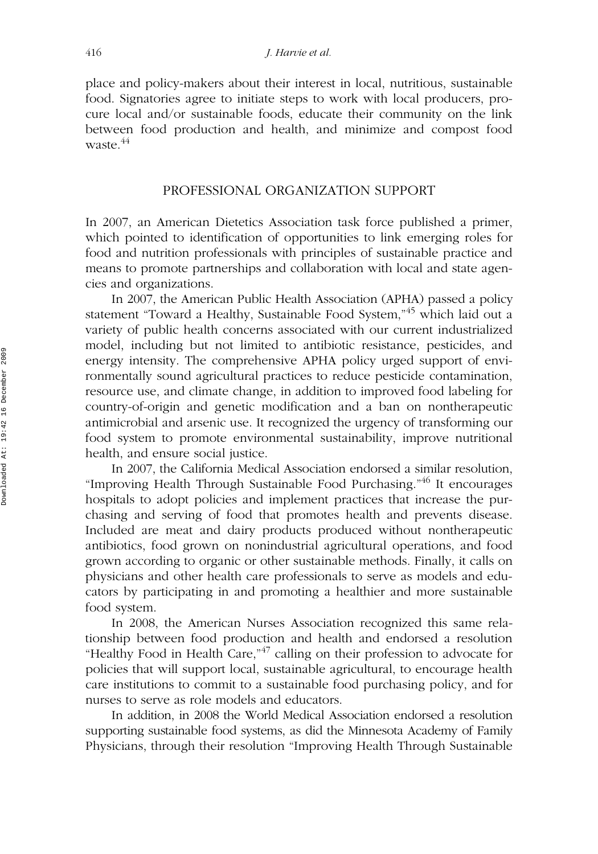place and policy-makers about their interest in local, nutritious, sustainable food. Signatories agree to initiate steps to work with local producers, procure local and/or sustainable foods, educate their community on the link between food production and health, and minimize and compost food waste.<sup>44</sup>

#### PROFESSIONAL ORGANIZATION SUPPORT

In 2007, an American Dietetics Association task force published a primer, which pointed to identification of opportunities to link emerging roles for food and nutrition professionals with principles of sustainable practice and means to promote partnerships and collaboration with local and state agencies and organizations.

In 2007, the American Public Health Association (APHA) passed a policy statement "Toward a Healthy, Sustainable Food System,"<sup>45</sup> which laid out a variety of public health concerns associated with our current industrialized model, including but not limited to antibiotic resistance, pesticides, and energy intensity. The comprehensive APHA policy urged support of environmentally sound agricultural practices to reduce pesticide contamination, resource use, and climate change, in addition to improved food labeling for country-of-origin and genetic modification and a ban on nontherapeutic antimicrobial and arsenic use. It recognized the urgency of transforming our food system to promote environmental sustainability, improve nutritional health, and ensure social justice.

In 2007, the California Medical Association endorsed a similar resolution, "Improving Health Through Sustainable Food Purchasing."46 It encourages hospitals to adopt policies and implement practices that increase the purchasing and serving of food that promotes health and prevents disease. Included are meat and dairy products produced without nontherapeutic antibiotics, food grown on nonindustrial agricultural operations, and food grown according to organic or other sustainable methods. Finally, it calls on physicians and other health care professionals to serve as models and educators by participating in and promoting a healthier and more sustainable food system.

In 2008, the American Nurses Association recognized this same relationship between food production and health and endorsed a resolution "Healthy Food in Health Care," $47$  calling on their profession to advocate for policies that will support local, sustainable agricultural, to encourage health care institutions to commit to a sustainable food purchasing policy, and for nurses to serve as role models and educators.

In addition, in 2008 the World Medical Association endorsed a resolution supporting sustainable food systems, as did the Minnesota Academy of Family Physicians, through their resolution "Improving Health Through Sustainable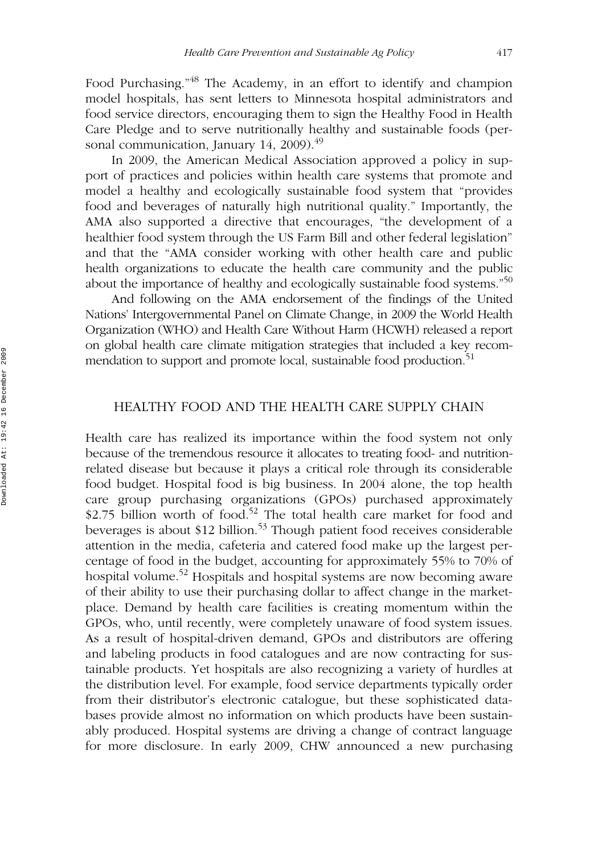Food Purchasing."<sup>48</sup> The Academy, in an effort to identify and champion model hospitals, has sent letters to Minnesota hospital administrators and food service directors, encouraging them to sign the Healthy Food in Health Care Pledge and to serve nutritionally healthy and sustainable foods (personal communication, January 14, 2009). $^{49}$ 

In 2009, the American Medical Association approved a policy in support of practices and policies within health care systems that promote and model a healthy and ecologically sustainable food system that "provides food and beverages of naturally high nutritional quality." Importantly, the AMA also supported a directive that encourages, "the development of a healthier food system through the US Farm Bill and other federal legislation" and that the "AMA consider working with other health care and public health organizations to educate the health care community and the public about the importance of healthy and ecologically sustainable food systems."<sup>50</sup>

And following on the AMA endorsement of the findings of the United Nations' Intergovernmental Panel on Climate Change, in 2009 the World Health Organization (WHO) and Health Care Without Harm (HCWH) released a report on global health care climate mitigation strategies that included a key recommendation to support and promote local, sustainable food production.<sup>51</sup>

#### HEALTHY FOOD AND THE HEALTH CARE SUPPLY CHAIN

Health care has realized its importance within the food system not only because of the tremendous resource it allocates to treating food- and nutritionrelated disease but because it plays a critical role through its considerable food budget. Hospital food is big business. In 2004 alone, the top health care group purchasing organizations (GPOs) purchased approximately \$2.75 billion worth of food.<sup>52</sup> The total health care market for food and beverages is about \$12 billion.<sup>53</sup> Though patient food receives considerable attention in the media, cafeteria and catered food make up the largest percentage of food in the budget, accounting for approximately 55% to 70% of hospital volume.<sup>52</sup> Hospitals and hospital systems are now becoming aware of their ability to use their purchasing dollar to affect change in the marketplace. Demand by health care facilities is creating momentum within the GPOs, who, until recently, were completely unaware of food system issues. As a result of hospital-driven demand, GPOs and distributors are offering and labeling products in food catalogues and are now contracting for sustainable products. Yet hospitals are also recognizing a variety of hurdles at the distribution level. For example, food service departments typically order from their distributor's electronic catalogue, but these sophisticated databases provide almost no information on which products have been sustainably produced. Hospital systems are driving a change of contract language for more disclosure. In early 2009, CHW announced a new purchasing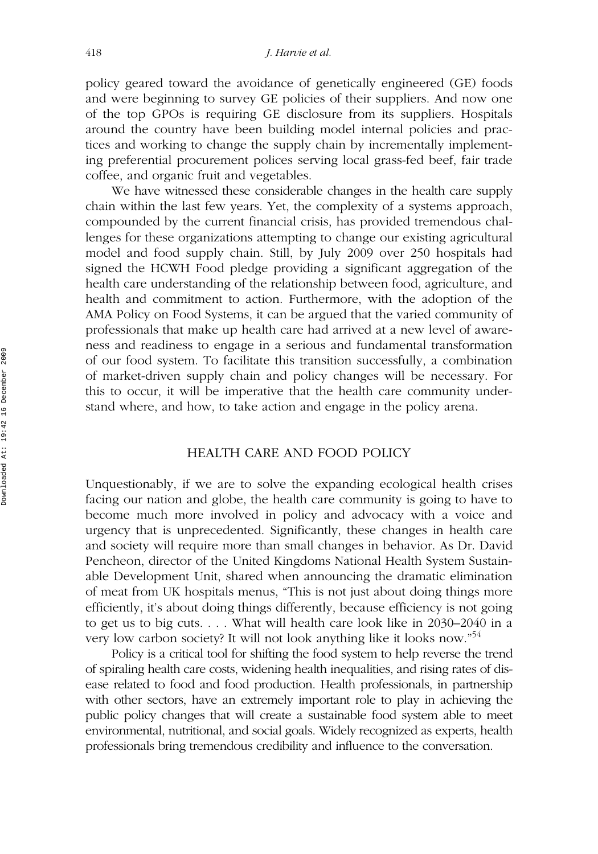policy geared toward the avoidance of genetically engineered (GE) foods and were beginning to survey GE policies of their suppliers. And now one of the top GPOs is requiring GE disclosure from its suppliers. Hospitals around the country have been building model internal policies and practices and working to change the supply chain by incrementally implementing preferential procurement polices serving local grass-fed beef, fair trade coffee, and organic fruit and vegetables.

We have witnessed these considerable changes in the health care supply chain within the last few years. Yet, the complexity of a systems approach, compounded by the current financial crisis, has provided tremendous challenges for these organizations attempting to change our existing agricultural model and food supply chain. Still, by July 2009 over 250 hospitals had signed the HCWH Food pledge providing a significant aggregation of the health care understanding of the relationship between food, agriculture, and health and commitment to action. Furthermore, with the adoption of the AMA Policy on Food Systems, it can be argued that the varied community of professionals that make up health care had arrived at a new level of awareness and readiness to engage in a serious and fundamental transformation of our food system. To facilitate this transition successfully, a combination of market-driven supply chain and policy changes will be necessary. For this to occur, it will be imperative that the health care community understand where, and how, to take action and engage in the policy arena.

#### HEALTH CARE AND FOOD POLICY

Unquestionably, if we are to solve the expanding ecological health crises facing our nation and globe, the health care community is going to have to become much more involved in policy and advocacy with a voice and urgency that is unprecedented. Significantly, these changes in health care and society will require more than small changes in behavior. As Dr. David Pencheon, director of the United Kingdoms National Health System Sustainable Development Unit, shared when announcing the dramatic elimination of meat from UK hospitals menus, "This is not just about doing things more efficiently, it's about doing things differently, because efficiency is not going to get us to big cuts. . . . What will health care look like in 2030–2040 in a very low carbon society? It will not look anything like it looks now."<sup>54</sup>

Policy is a critical tool for shifting the food system to help reverse the trend of spiraling health care costs, widening health inequalities, and rising rates of disease related to food and food production. Health professionals, in partnership with other sectors, have an extremely important role to play in achieving the public policy changes that will create a sustainable food system able to meet environmental, nutritional, and social goals. Widely recognized as experts, health professionals bring tremendous credibility and influence to the conversation.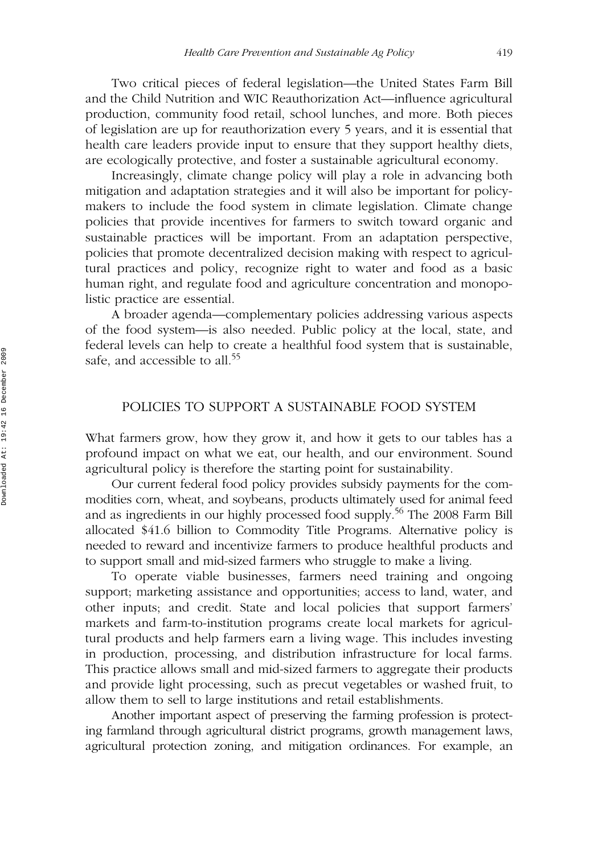Two critical pieces of federal legislation—the United States Farm Bill and the Child Nutrition and WIC Reauthorization Act—influence agricultural production, community food retail, school lunches, and more. Both pieces of legislation are up for reauthorization every 5 years, and it is essential that health care leaders provide input to ensure that they support healthy diets, are ecologically protective, and foster a sustainable agricultural economy.

Increasingly, climate change policy will play a role in advancing both mitigation and adaptation strategies and it will also be important for policymakers to include the food system in climate legislation. Climate change policies that provide incentives for farmers to switch toward organic and sustainable practices will be important. From an adaptation perspective, policies that promote decentralized decision making with respect to agricultural practices and policy, recognize right to water and food as a basic human right, and regulate food and agriculture concentration and monopolistic practice are essential.

A broader agenda—complementary policies addressing various aspects of the food system—is also needed. Public policy at the local, state, and federal levels can help to create a healthful food system that is sustainable, safe, and accessible to all.<sup>55</sup>

#### POLICIES TO SUPPORT A SUSTAINABLE FOOD SYSTEM

What farmers grow, how they grow it, and how it gets to our tables has a profound impact on what we eat, our health, and our environment. Sound agricultural policy is therefore the starting point for sustainability.

Our current federal food policy provides subsidy payments for the commodities corn, wheat, and soybeans, products ultimately used for animal feed and as ingredients in our highly processed food supply.<sup>56</sup> The 2008 Farm Bill allocated \$41.6 billion to Commodity Title Programs. Alternative policy is needed to reward and incentivize farmers to produce healthful products and to support small and mid-sized farmers who struggle to make a living.

To operate viable businesses, farmers need training and ongoing support; marketing assistance and opportunities; access to land, water, and other inputs; and credit. State and local policies that support farmers' markets and farm-to-institution programs create local markets for agricultural products and help farmers earn a living wage. This includes investing in production, processing, and distribution infrastructure for local farms. This practice allows small and mid-sized farmers to aggregate their products and provide light processing, such as precut vegetables or washed fruit, to allow them to sell to large institutions and retail establishments.

Another important aspect of preserving the farming profession is protecting farmland through agricultural district programs, growth management laws, agricultural protection zoning, and mitigation ordinances. For example, an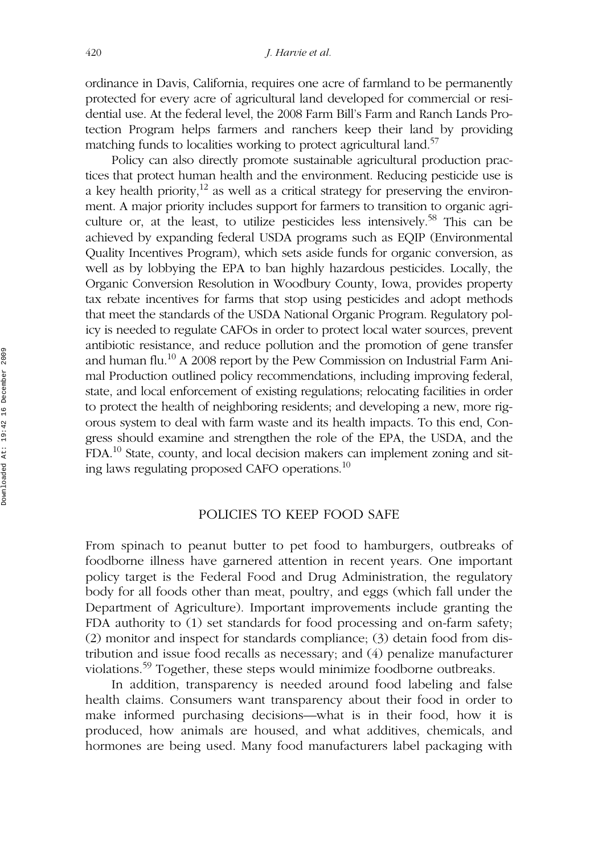ordinance in Davis, California, requires one acre of farmland to be permanently protected for every acre of agricultural land developed for commercial or residential use. At the federal level, the 2008 Farm Bill's Farm and Ranch Lands Protection Program helps farmers and ranchers keep their land by providing matching funds to localities working to protect agricultural land.<sup>57</sup>

Policy can also directly promote sustainable agricultural production practices that protect human health and the environment. Reducing pesticide use is a key health priority,<sup>12</sup> as well as a critical strategy for preserving the environment. A major priority includes support for farmers to transition to organic agriculture or, at the least, to utilize pesticides less intensively.<sup>58</sup> This can be achieved by expanding federal USDA programs such as EQIP (Environmental Quality Incentives Program), which sets aside funds for organic conversion, as well as by lobbying the EPA to ban highly hazardous pesticides. Locally, the Organic Conversion Resolution in Woodbury County, Iowa, provides property tax rebate incentives for farms that stop using pesticides and adopt methods that meet the standards of the USDA National Organic Program. Regulatory policy is needed to regulate CAFOs in order to protect local water sources, prevent antibiotic resistance, and reduce pollution and the promotion of gene transfer and human flu.<sup>10</sup> A 2008 report by the Pew Commission on Industrial Farm Animal Production outlined policy recommendations, including improving federal, state, and local enforcement of existing regulations; relocating facilities in order to protect the health of neighboring residents; and developing a new, more rigorous system to deal with farm waste and its health impacts. To this end, Congress should examine and strengthen the role of the EPA, the USDA, and the FDA.<sup>10</sup> State, county, and local decision makers can implement zoning and siting laws regulating proposed CAFO operations.<sup>10</sup>

#### POLICIES TO KEEP FOOD SAFE

From spinach to peanut butter to pet food to hamburgers, outbreaks of foodborne illness have garnered attention in recent years. One important policy target is the Federal Food and Drug Administration, the regulatory body for all foods other than meat, poultry, and eggs (which fall under the Department of Agriculture). Important improvements include granting the FDA authority to (1) set standards for food processing and on-farm safety; (2) monitor and inspect for standards compliance; (3) detain food from distribution and issue food recalls as necessary; and (4) penalize manufacturer violations.<sup>59</sup> Together, these steps would minimize foodborne outbreaks.

In addition, transparency is needed around food labeling and false health claims. Consumers want transparency about their food in order to make informed purchasing decisions—what is in their food, how it is produced, how animals are housed, and what additives, chemicals, and hormones are being used. Many food manufacturers label packaging with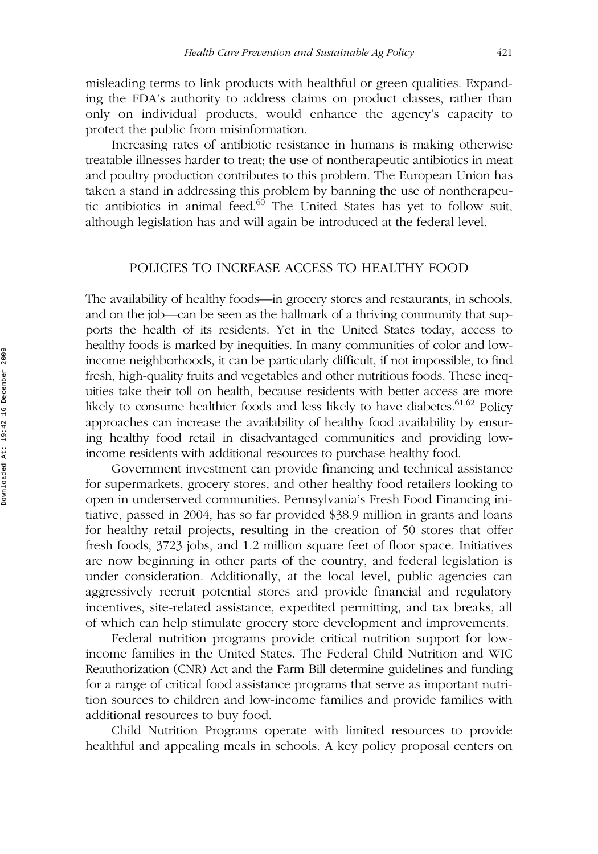misleading terms to link products with healthful or green qualities. Expanding the FDA's authority to address claims on product classes, rather than only on individual products, would enhance the agency's capacity to protect the public from misinformation.

Increasing rates of antibiotic resistance in humans is making otherwise treatable illnesses harder to treat; the use of nontherapeutic antibiotics in meat and poultry production contributes to this problem. The European Union has taken a stand in addressing this problem by banning the use of nontherapeutic antibiotics in animal feed. $60$  The United States has yet to follow suit, although legislation has and will again be introduced at the federal level.

#### POLICIES TO INCREASE ACCESS TO HEALTHY FOOD

The availability of healthy foods—in grocery stores and restaurants, in schools, and on the job—can be seen as the hallmark of a thriving community that supports the health of its residents. Yet in the United States today, access to healthy foods is marked by inequities. In many communities of color and lowincome neighborhoods, it can be particularly difficult, if not impossible, to find fresh, high-quality fruits and vegetables and other nutritious foods. These inequities take their toll on health, because residents with better access are more likely to consume healthier foods and less likely to have diabetes.<sup>61,62</sup> Policy approaches can increase the availability of healthy food availability by ensuring healthy food retail in disadvantaged communities and providing lowincome residents with additional resources to purchase healthy food.

Government investment can provide financing and technical assistance for supermarkets, grocery stores, and other healthy food retailers looking to open in underserved communities. Pennsylvania's Fresh Food Financing initiative, passed in 2004, has so far provided \$38.9 million in grants and loans for healthy retail projects, resulting in the creation of 50 stores that offer fresh foods, 3723 jobs, and 1.2 million square feet of floor space. Initiatives are now beginning in other parts of the country, and federal legislation is under consideration. Additionally, at the local level, public agencies can aggressively recruit potential stores and provide financial and regulatory incentives, site-related assistance, expedited permitting, and tax breaks, all of which can help stimulate grocery store development and improvements.

Federal nutrition programs provide critical nutrition support for lowincome families in the United States. The Federal Child Nutrition and WIC Reauthorization (CNR) Act and the Farm Bill determine guidelines and funding for a range of critical food assistance programs that serve as important nutrition sources to children and low-income families and provide families with additional resources to buy food.

Child Nutrition Programs operate with limited resources to provide healthful and appealing meals in schools. A key policy proposal centers on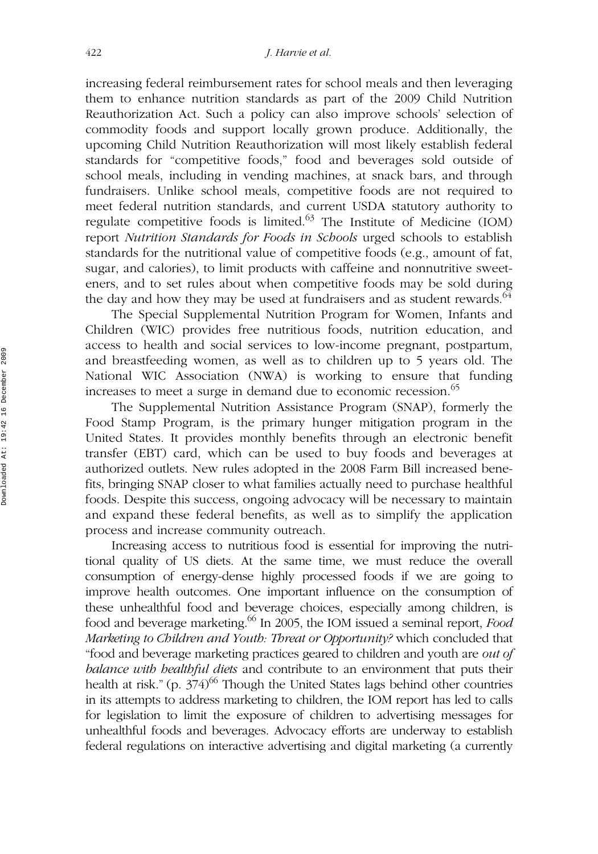increasing federal reimbursement rates for school meals and then leveraging them to enhance nutrition standards as part of the 2009 Child Nutrition Reauthorization Act. Such a policy can also improve schools' selection of commodity foods and support locally grown produce. Additionally, the upcoming Child Nutrition Reauthorization will most likely establish federal standards for "competitive foods," food and beverages sold outside of school meals, including in vending machines, at snack bars, and through fundraisers. Unlike school meals, competitive foods are not required to meet federal nutrition standards, and current USDA statutory authority to regulate competitive foods is limited. $63$  The Institute of Medicine (IOM) report *Nutrition Standards for Foods in Schools* urged schools to establish standards for the nutritional value of competitive foods (e.g., amount of fat, sugar, and calories), to limit products with caffeine and nonnutritive sweeteners, and to set rules about when competitive foods may be sold during the day and how they may be used at fundraisers and as student rewards. $64$ 

The Special Supplemental Nutrition Program for Women, Infants and Children (WIC) provides free nutritious foods, nutrition education, and access to health and social services to low-income pregnant, postpartum, and breastfeeding women, as well as to children up to 5 years old. The National WIC Association (NWA) is working to ensure that funding increases to meet a surge in demand due to economic recession.<sup>65</sup>

The Supplemental Nutrition Assistance Program (SNAP), formerly the Food Stamp Program, is the primary hunger mitigation program in the United States. It provides monthly benefits through an electronic benefit transfer (EBT) card, which can be used to buy foods and beverages at authorized outlets. New rules adopted in the 2008 Farm Bill increased benefits, bringing SNAP closer to what families actually need to purchase healthful foods. Despite this success, ongoing advocacy will be necessary to maintain and expand these federal benefits, as well as to simplify the application process and increase community outreach.

Increasing access to nutritious food is essential for improving the nutritional quality of US diets. At the same time, we must reduce the overall consumption of energy-dense highly processed foods if we are going to improve health outcomes. One important influence on the consumption of these unhealthful food and beverage choices, especially among children, is food and beverage marketing.66 In 2005, the IOM issued a seminal report, *Food Marketing to Children and Youth: Threat or Opportunity?* which concluded that "food and beverage marketing practices geared to children and youth are *out of balance with healthful diets* and contribute to an environment that puts their health at risk." (p.  $374$ <sup>66</sup> Though the United States lags behind other countries in its attempts to address marketing to children, the IOM report has led to calls for legislation to limit the exposure of children to advertising messages for unhealthful foods and beverages. Advocacy efforts are underway to establish federal regulations on interactive advertising and digital marketing (a currently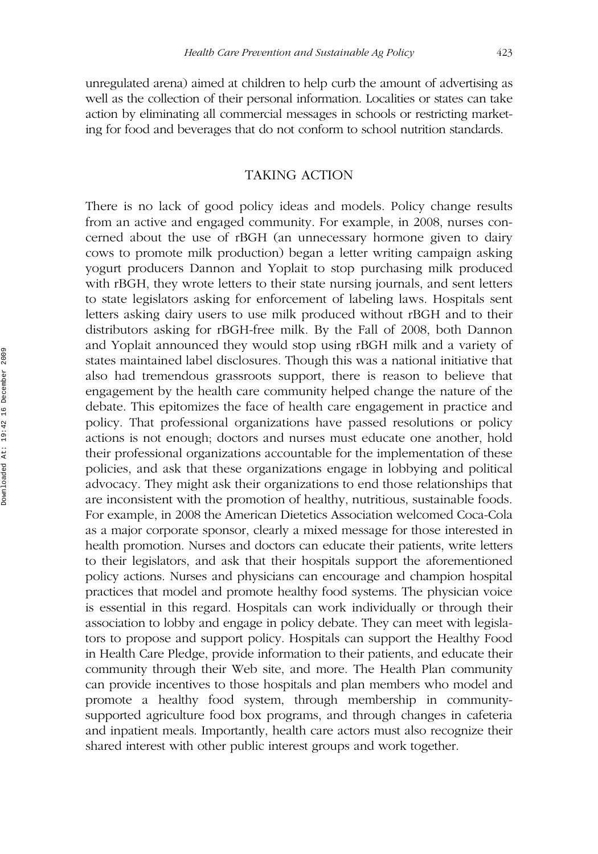unregulated arena) aimed at children to help curb the amount of advertising as well as the collection of their personal information. Localities or states can take action by eliminating all commercial messages in schools or restricting marketing for food and beverages that do not conform to school nutrition standards.

#### TAKING ACTION

There is no lack of good policy ideas and models. Policy change results from an active and engaged community. For example, in 2008, nurses concerned about the use of rBGH (an unnecessary hormone given to dairy cows to promote milk production) began a letter writing campaign asking yogurt producers Dannon and Yoplait to stop purchasing milk produced with rBGH, they wrote letters to their state nursing journals, and sent letters to state legislators asking for enforcement of labeling laws. Hospitals sent letters asking dairy users to use milk produced without rBGH and to their distributors asking for rBGH-free milk. By the Fall of 2008, both Dannon and Yoplait announced they would stop using rBGH milk and a variety of states maintained label disclosures. Though this was a national initiative that also had tremendous grassroots support, there is reason to believe that engagement by the health care community helped change the nature of the debate. This epitomizes the face of health care engagement in practice and policy. That professional organizations have passed resolutions or policy actions is not enough; doctors and nurses must educate one another, hold their professional organizations accountable for the implementation of these policies, and ask that these organizations engage in lobbying and political advocacy. They might ask their organizations to end those relationships that are inconsistent with the promotion of healthy, nutritious, sustainable foods. For example, in 2008 the American Dietetics Association welcomed Coca-Cola as a major corporate sponsor, clearly a mixed message for those interested in health promotion. Nurses and doctors can educate their patients, write letters to their legislators, and ask that their hospitals support the aforementioned policy actions. Nurses and physicians can encourage and champion hospital practices that model and promote healthy food systems. The physician voice is essential in this regard. Hospitals can work individually or through their association to lobby and engage in policy debate. They can meet with legislators to propose and support policy. Hospitals can support the Healthy Food in Health Care Pledge, provide information to their patients, and educate their community through their Web site, and more. The Health Plan community can provide incentives to those hospitals and plan members who model and promote a healthy food system, through membership in communitysupported agriculture food box programs, and through changes in cafeteria and inpatient meals. Importantly, health care actors must also recognize their shared interest with other public interest groups and work together.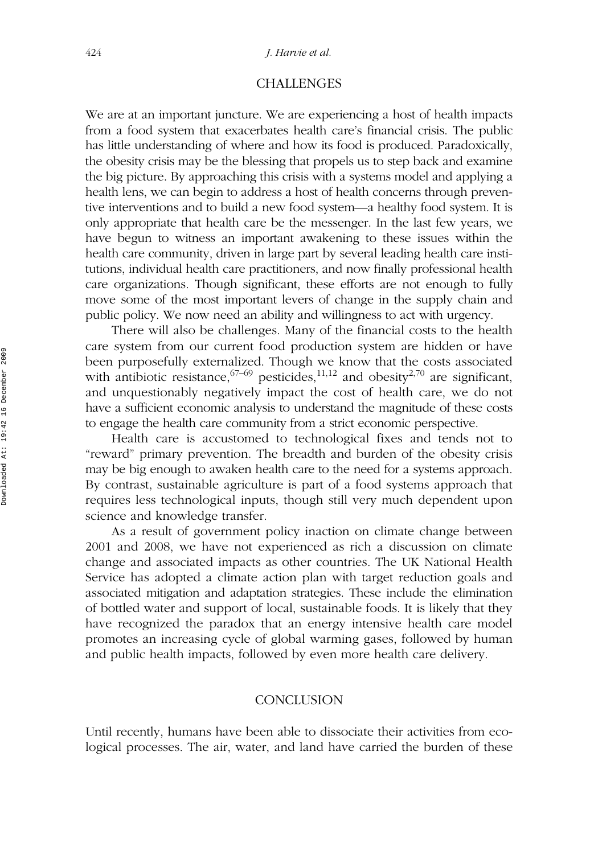#### **CHALLENGES**

We are at an important juncture. We are experiencing a host of health impacts from a food system that exacerbates health care's financial crisis. The public has little understanding of where and how its food is produced. Paradoxically, the obesity crisis may be the blessing that propels us to step back and examine the big picture. By approaching this crisis with a systems model and applying a health lens, we can begin to address a host of health concerns through preventive interventions and to build a new food system—a healthy food system. It is only appropriate that health care be the messenger. In the last few years, we have begun to witness an important awakening to these issues within the health care community, driven in large part by several leading health care institutions, individual health care practitioners, and now finally professional health care organizations. Though significant, these efforts are not enough to fully move some of the most important levers of change in the supply chain and public policy. We now need an ability and willingness to act with urgency.

There will also be challenges. Many of the financial costs to the health care system from our current food production system are hidden or have been purposefully externalized. Though we know that the costs associated with antibiotic resistance,  $67-69$  pesticides,  $11,12$  and obesity<sup>2,70</sup> are significant, and unquestionably negatively impact the cost of health care, we do not have a sufficient economic analysis to understand the magnitude of these costs to engage the health care community from a strict economic perspective.

Health care is accustomed to technological fixes and tends not to "reward" primary prevention. The breadth and burden of the obesity crisis may be big enough to awaken health care to the need for a systems approach. By contrast, sustainable agriculture is part of a food systems approach that requires less technological inputs, though still very much dependent upon science and knowledge transfer.

As a result of government policy inaction on climate change between 2001 and 2008, we have not experienced as rich a discussion on climate change and associated impacts as other countries. The UK National Health Service has adopted a climate action plan with target reduction goals and associated mitigation and adaptation strategies. These include the elimination of bottled water and support of local, sustainable foods. It is likely that they have recognized the paradox that an energy intensive health care model promotes an increasing cycle of global warming gases, followed by human and public health impacts, followed by even more health care delivery.

#### CONCLUSION

Until recently, humans have been able to dissociate their activities from ecological processes. The air, water, and land have carried the burden of these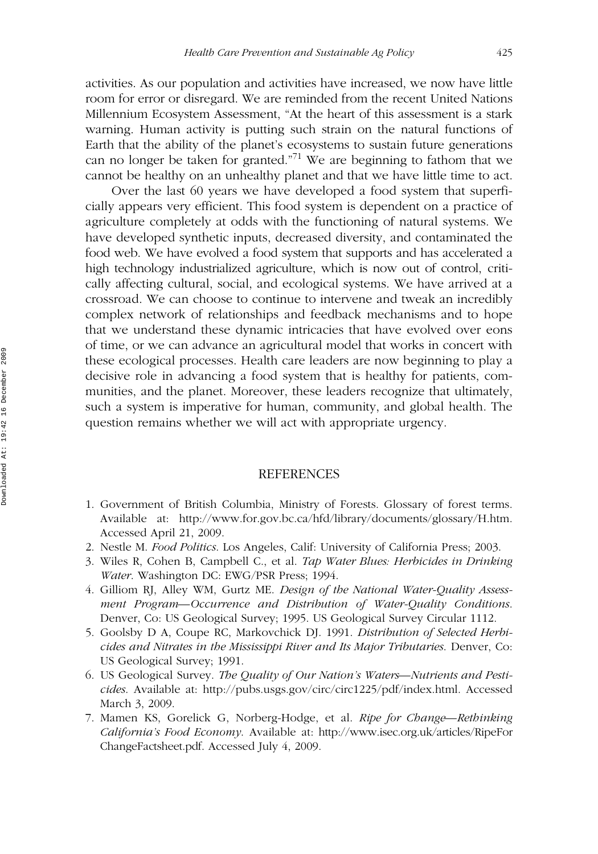activities. As our population and activities have increased, we now have little room for error or disregard. We are reminded from the recent United Nations Millennium Ecosystem Assessment, "At the heart of this assessment is a stark warning. Human activity is putting such strain on the natural functions of Earth that the ability of the planet's ecosystems to sustain future generations can no longer be taken for granted."<sup>71</sup> We are beginning to fathom that we cannot be healthy on an unhealthy planet and that we have little time to act.

Over the last 60 years we have developed a food system that superficially appears very efficient. This food system is dependent on a practice of agriculture completely at odds with the functioning of natural systems. We have developed synthetic inputs, decreased diversity, and contaminated the food web. We have evolved a food system that supports and has accelerated a high technology industrialized agriculture, which is now out of control, critically affecting cultural, social, and ecological systems. We have arrived at a crossroad. We can choose to continue to intervene and tweak an incredibly complex network of relationships and feedback mechanisms and to hope that we understand these dynamic intricacies that have evolved over eons of time, or we can advance an agricultural model that works in concert with these ecological processes. Health care leaders are now beginning to play a decisive role in advancing a food system that is healthy for patients, communities, and the planet. Moreover, these leaders recognize that ultimately, such a system is imperative for human, community, and global health. The question remains whether we will act with appropriate urgency.

#### REFERENCES

- 1. Government of British Columbia, Ministry of Forests. Glossary of forest terms. Available at: http://www.for.gov.bc.ca/hfd/library/documents/glossary/H.htm. Accessed April 21, 2009.
- 2. Nestle M. *Food Politics*. Los Angeles, Calif: University of California Press; 2003.
- 3. Wiles R, Cohen B, Campbell C., et al. *Tap Water Blues: Herbicides in Drinking Water*. Washington DC: EWG/PSR Press; 1994.
- 4. Gilliom RJ, Alley WM, Gurtz ME. *Design of the National Water-Quality Assessment Program—Occurrence and Distribution of Water-Quality Conditions*. Denver, Co: US Geological Survey; 1995. US Geological Survey Circular 1112.
- 5. Goolsby D A, Coupe RC, Markovchick DJ. 1991. *Distribution of Selected Herbicides and Nitrates in the Mississippi River and Its Major Tributaries*. Denver, Co: US Geological Survey; 1991.
- 6. US Geological Survey. *The Quality of Our Nation's Waters—Nutrients and Pesticides*. Available at: http://pubs.usgs.gov/circ/circ1225/pdf/index.html. Accessed March 3, 2009.
- 7. Mamen KS, Gorelick G, Norberg-Hodge, et al. *Ripe for Change—Rethinking California's Food Economy*. Available at: http://www.isec.org.uk/articles/RipeFor ChangeFactsheet.pdf. Accessed July 4, 2009.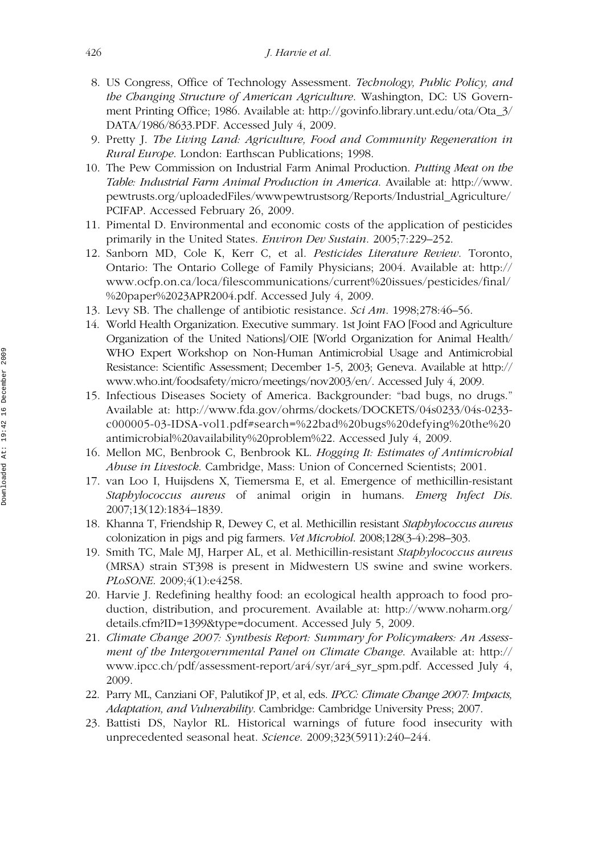- 8. US Congress, Office of Technology Assessment. *Technology, Public Policy, and the Changing Structure of American Agriculture*. Washington, DC: US Government Printing Office; 1986. Available at: http://govinfo.library.unt.edu/ota/Ota\_3/ DATA/1986/8633.PDF. Accessed July 4, 2009.
- 9. Pretty J. *The Living Land: Agriculture, Food and Community Regeneration in Rural Europe*. London: Earthscan Publications; 1998.
- 10. The Pew Commission on Industrial Farm Animal Production. *Putting Meat on the Table: Industrial Farm Animal Production in America*. Available at: http://www. pewtrusts.org/uploadedFiles/wwwpewtrustsorg/Reports/Industrial\_Agriculture/ PCIFAP. Accessed February 26, 2009.
- 11. Pimental D. Environmental and economic costs of the application of pesticides primarily in the United States. *Environ Dev Sustain*. 2005;7:229–252.
- 12. Sanborn MD, Cole K, Kerr C, et al. *Pesticides Literature Review*. Toronto, Ontario: The Ontario College of Family Physicians; 2004. Available at: http:// www.ocfp.on.ca/loca/filescommunications/current%20issues/pesticides/final/ %20paper%2023APR2004.pdf. Accessed July 4, 2009.
- 13. Levy SB. The challenge of antibiotic resistance. *Sci Am*. 1998;278:46–56.
- 14. World Health Organization. Executive summary. 1st Joint FAO [Food and Agriculture Organization of the United Nations]/OIE [World Organization for Animal Health/ WHO Expert Workshop on Non-Human Antimicrobial Usage and Antimicrobial Resistance: Scientific Assessment; December 1-5, 2003; Geneva. Available at http:// www.who.int/foodsafety/micro/meetings/nov2003/en/. Accessed July 4, 2009.
- 15. Infectious Diseases Society of America. Backgrounder: "bad bugs, no drugs." Available at: http://www.fda.gov/ohrms/dockets/DOCKETS/04s0233/04s-0233 c000005-03-IDSA-vol1.pdf#search=%22bad%20bugs%20defying%20the%20 antimicrobial%20availability%20problem%22. Accessed July 4, 2009.
- 16. Mellon MC, Benbrook C, Benbrook KL. *Hogging It: Estimates of Antimicrobial Abuse in Livestock*. Cambridge, Mass: Union of Concerned Scientists; 2001.
- 17. van Loo I, Huijsdens X, Tiemersma E, et al. Emergence of methicillin-resistant *Staphylococcus aureus* of animal origin in humans. *Emerg Infect Dis*. 2007;13(12):1834–1839.
- 18. Khanna T, Friendship R, Dewey C, et al. Methicillin resistant *Staphylococcus aureus* colonization in pigs and pig farmers. *Vet Microbiol*. 2008;128(3-4):298–303.
- 19. Smith TC, Male MJ, Harper AL, et al. Methicillin-resistant *Staphylococcus aureus* (MRSA) strain ST398 is present in Midwestern US swine and swine workers. *PLoSONE*. 2009;4(1):e4258.
- 20. Harvie J. Redefining healthy food: an ecological health approach to food production, distribution, and procurement. Available at: http://www.noharm.org/ details.cfm?ID=1399&type=document. Accessed July 5, 2009.
- 21. *Climate Change 2007: Synthesis Report: Summary for Policymakers: An Assessment of the Intergovernmental Panel on Climate Change*. Available at: http:// www.ipcc.ch/pdf/assessment-report/ar4/syr/ar4\_syr\_spm.pdf. Accessed July 4, 2009.
- 22. Parry ML, Canziani OF, Palutikof JP, et al, eds. *IPCC: Climate Change 2007: Impacts, Adaptation, and Vulnerability*. Cambridge: Cambridge University Press; 2007.
- 23. Battisti DS, Naylor RL. Historical warnings of future food insecurity with unprecedented seasonal heat. *Science*. 2009;323(5911):240–244.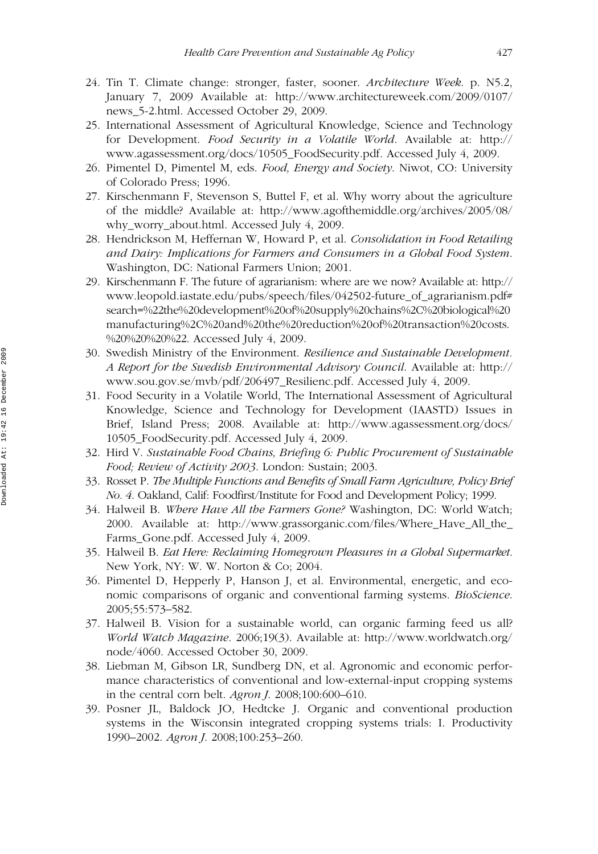- 24. Tin T. Climate change: stronger, faster, sooner. *Architecture Week*. p. N5.2, January 7, 2009 Available at: http://www.architectureweek.com/2009/0107/ news\_5-2.html. Accessed October 29, 2009.
- 25. International Assessment of Agricultural Knowledge, Science and Technology for Development. *Food Security in a Volatile World*. Available at: http:// www.agassessment.org/docs/10505\_FoodSecurity.pdf. Accessed July 4, 2009.
- 26. Pimentel D, Pimentel M, eds. *Food, Energy and Society*. Niwot, CO: University of Colorado Press; 1996.
- 27. Kirschenmann F, Stevenson S, Buttel F, et al. Why worry about the agriculture of the middle? Available at: http://www.agofthemiddle.org/archives/2005/08/ why\_worry\_about.html. Accessed July 4, 2009.
- 28. Hendrickson M, Heffernan W, Howard P, et al. *Consolidation in Food Retailing and Dairy: Implications for Farmers and Consumers in a Global Food System*. Washington, DC: National Farmers Union; 2001.
- 29. Kirschenmann F. The future of agrarianism: where are we now? Available at: http:// www.leopold.iastate.edu/pubs/speech/files/042502-future\_of\_agrarianism.pdf# search=%22the%20development%20of%20supply%20chains%2C%20biological%20 manufacturing%2C%20and%20the%20reduction%20of%20transaction%20costs. %20%20%20%22. Accessed July 4, 2009.
- 30. Swedish Ministry of the Environment. *Resilience and Sustainable Development. A Report for the Swedish Environmental Advisory Council*. Available at: http:// www.sou.gov.se/mvb/pdf/206497\_Resilienc.pdf. Accessed July 4, 2009.
- 31. Food Security in a Volatile World, The International Assessment of Agricultural Knowledge, Science and Technology for Development (IAASTD) Issues in Brief, Island Press; 2008. Available at: http://www.agassessment.org/docs/ 10505\_FoodSecurity.pdf. Accessed July 4, 2009.
- 32. Hird V. *Sustainable Food Chains, Briefing 6: Public Procurement of Sustainable Food; Review of Activity 2003*. London: Sustain; 2003.
- 33. Rosset P. *The Multiple Functions and Benefits of Small Farm Agriculture, Policy Brief No. 4*. Oakland, Calif: Foodfirst/Institute for Food and Development Policy; 1999.
- 34. Halweil B. *Where Have All the Farmers Gone?* Washington, DC: World Watch; 2000. Available at: http://www.grassorganic.com/files/Where\_Have\_All\_the\_ Farms\_Gone.pdf. Accessed July 4, 2009.
- 35. Halweil B. *Eat Here: Reclaiming Homegrown Pleasures in a Global Supermarket*. New York, NY: W. W. Norton & Co; 2004.
- 36. Pimentel D, Hepperly P, Hanson J, et al. Environmental, energetic, and economic comparisons of organic and conventional farming systems. *BioScience*. 2005;55:573–582.
- 37. Halweil B. Vision for a sustainable world, can organic farming feed us all? *World Watch Magazine*. 2006;19(3). Available at: http://www.worldwatch.org/ node/4060. Accessed October 30, 2009.
- 38. Liebman M, Gibson LR, Sundberg DN, et al. Agronomic and economic performance characteristics of conventional and low-external-input cropping systems in the central corn belt. *Agron J*. 2008;100:600–610.
- 39. Posner JL, Baldock JO, Hedtcke J. Organic and conventional production systems in the Wisconsin integrated cropping systems trials: I. Productivity 1990–2002. *Agron J*. 2008;100:253–260.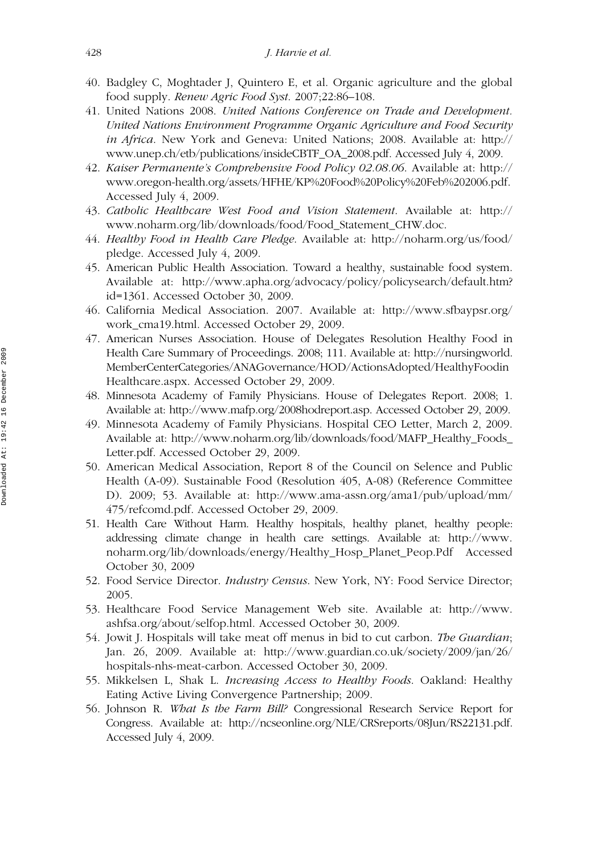- 40. Badgley C, Moghtader J, Quintero E, et al. Organic agriculture and the global food supply. *Renew Agric Food Syst*. 2007;22:86–108.
- 41. United Nations 2008. *United Nations Conference on Trade and Development. United Nations Environment Programme Organic Agriculture and Food Security in Africa*. New York and Geneva: United Nations; 2008. Available at: http:// www.unep.ch/etb/publications/insideCBTF\_OA\_2008.pdf. Accessed July 4, 2009.
- 42. *Kaiser Permanente's Comprehensive Food Policy 02.08.06*. Available at: http:// www.oregon-health.org/assets/HFHE/KP%20Food%20Policy%20Feb%202006.pdf. Accessed July 4, 2009.
- 43. *Catholic Healthcare West Food and Vision Statement*. Available at: http:// www.noharm.org/lib/downloads/food/Food\_Statement\_CHW.doc.
- 44. *Healthy Food in Health Care Pledge*. Available at: http://noharm.org/us/food/ pledge. Accessed July 4, 2009.
- 45. American Public Health Association. Toward a healthy, sustainable food system. Available at: http://www.apha.org/advocacy/policy/policysearch/default.htm? id=1361. Accessed October 30, 2009.
- 46. California Medical Association. 2007. Available at: http://www.sfbaypsr.org/ work\_cma19.html. Accessed October 29, 2009.
- 47. American Nurses Association. House of Delegates Resolution Healthy Food in Health Care Summary of Proceedings. 2008; 111. Available at: http://nursingworld. MemberCenterCategories/ANAGovernance/HOD/ActionsAdopted/HealthyFoodin Healthcare.aspx. Accessed October 29, 2009.
- 48. Minnesota Academy of Family Physicians. House of Delegates Report. 2008; 1. Available at: http://www.mafp.org/2008hodreport.asp. Accessed October 29, 2009.
- 49. Minnesota Academy of Family Physicians. Hospital CEO Letter, March 2, 2009. Available at: http://www.noharm.org/lib/downloads/food/MAFP\_Healthy\_Foods\_ Letter.pdf. Accessed October 29, 2009.
- 50. American Medical Association, Report 8 of the Council on Selence and Public Health (A-09). Sustainable Food (Resolution 405, A-08) (Reference Committee D). 2009; 53. Available at: http://www.ama-assn.org/ama1/pub/upload/mm/ 475/refcomd.pdf. Accessed October 29, 2009.
- 51. Health Care Without Harm. Healthy hospitals, healthy planet, healthy people: addressing climate change in health care settings. Available at: http://www. noharm.org/lib/downloads/energy/Healthy\_Hosp\_Planet\_Peop.Pdf Accessed October 30, 2009
- 52. Food Service Director. *Industry Census*. New York, NY: Food Service Director; 2005.
- 53. Healthcare Food Service Management Web site. Available at: http://www. ashfsa.org/about/selfop.html. Accessed October 30, 2009.
- 54. Jowit J. Hospitals will take meat off menus in bid to cut carbon. *The Guardian*; Jan. 26, 2009. Available at: http://www.guardian.co.uk/society/2009/jan/26/ hospitals-nhs-meat-carbon. Accessed October 30, 2009.
- 55. Mikkelsen L, Shak L. *Increasing Access to Healthy Foods*. Oakland: Healthy Eating Active Living Convergence Partnership; 2009.
- 56. Johnson R. *What Is the Farm Bill?* Congressional Research Service Report for Congress. Available at: http://ncseonline.org/NLE/CRSreports/08Jun/RS22131.pdf. Accessed July 4, 2009.